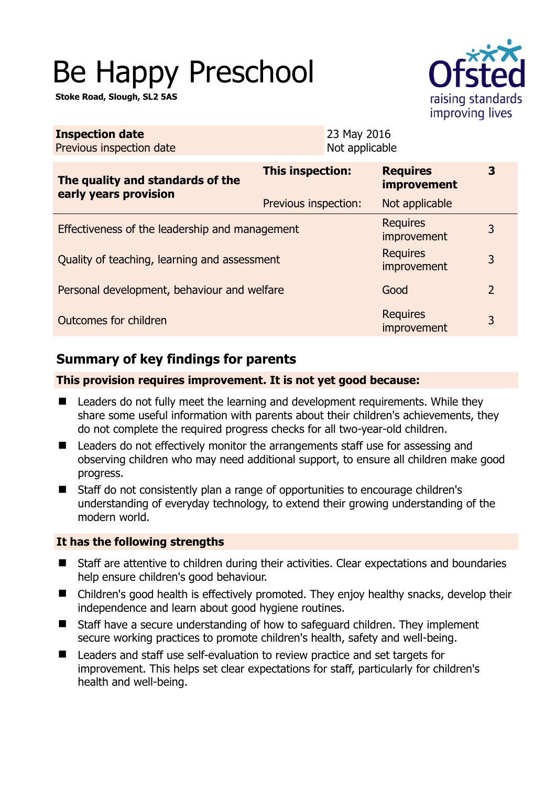# Be Happy Preschool

**Stoke Road, Slough, SL2 5AS** 



| <b>Inspection date</b><br>Previous inspection date        | 23 May 2016<br>Not applicable |                                |                |
|-----------------------------------------------------------|-------------------------------|--------------------------------|----------------|
| The quality and standards of the<br>early years provision | This inspection:              | <b>Requires</b><br>improvement | 3              |
|                                                           | Previous inspection:          | Not applicable                 |                |
| Effectiveness of the leadership and management            |                               | <b>Requires</b><br>improvement | 3              |
| Quality of teaching, learning and assessment              |                               | <b>Requires</b><br>improvement | 3              |
| Personal development, behaviour and welfare               |                               | Good                           | $\overline{2}$ |
| Outcomes for children                                     |                               | <b>Requires</b><br>improvement | 3              |

## **Summary of key findings for parents**

#### **This provision requires improvement. It is not yet good because:**

- Leaders do not fully meet the learning and development requirements. While they share some useful information with parents about their children's achievements, they do not complete the required progress checks for all two-year-old children.
- Leaders do not effectively monitor the arrangements staff use for assessing and observing children who may need additional support, to ensure all children make good progress.
- Staff do not consistently plan a range of opportunities to encourage children's understanding of everyday technology, to extend their growing understanding of the modern world.

### **It has the following strengths**

- Staff are attentive to children during their activities. Clear expectations and boundaries help ensure children's good behaviour.
- Children's good health is effectively promoted. They enjoy healthy snacks, develop their independence and learn about good hygiene routines.
- Staff have a secure understanding of how to safeguard children. They implement secure working practices to promote children's health, safety and well-being.
- Leaders and staff use self-evaluation to review practice and set targets for improvement. This helps set clear expectations for staff, particularly for children's health and well-being.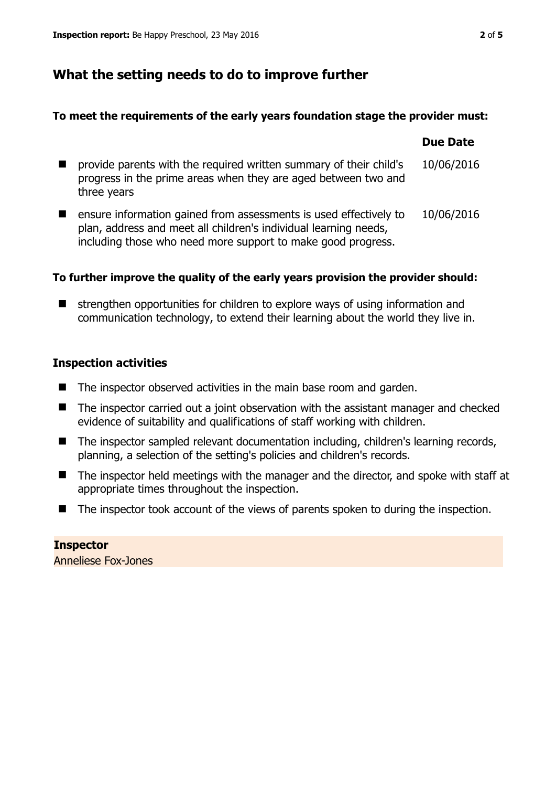## **What the setting needs to do to improve further**

#### **To meet the requirements of the early years foundation stage the provider must:**

|                                                                                                                                                                                                       | <b>Due Date</b> |
|-------------------------------------------------------------------------------------------------------------------------------------------------------------------------------------------------------|-----------------|
| provide parents with the required written summary of their child's<br>progress in the prime areas when they are aged between two and<br>three years                                                   | 10/06/2016      |
| ensure information gained from assessments is used effectively to<br>plan, address and meet all children's individual learning needs,<br>including those who need more support to make good progress. | 10/06/2016      |

#### **To further improve the quality of the early years provision the provider should:**

 $\blacksquare$  strengthen opportunities for children to explore ways of using information and communication technology, to extend their learning about the world they live in.

#### **Inspection activities**

- $\blacksquare$  The inspector observed activities in the main base room and garden.
- The inspector carried out a joint observation with the assistant manager and checked evidence of suitability and qualifications of staff working with children.
- The inspector sampled relevant documentation including, children's learning records, planning, a selection of the setting's policies and children's records.
- The inspector held meetings with the manager and the director, and spoke with staff at appropriate times throughout the inspection.
- The inspector took account of the views of parents spoken to during the inspection.

**Inspector**  Anneliese Fox-Jones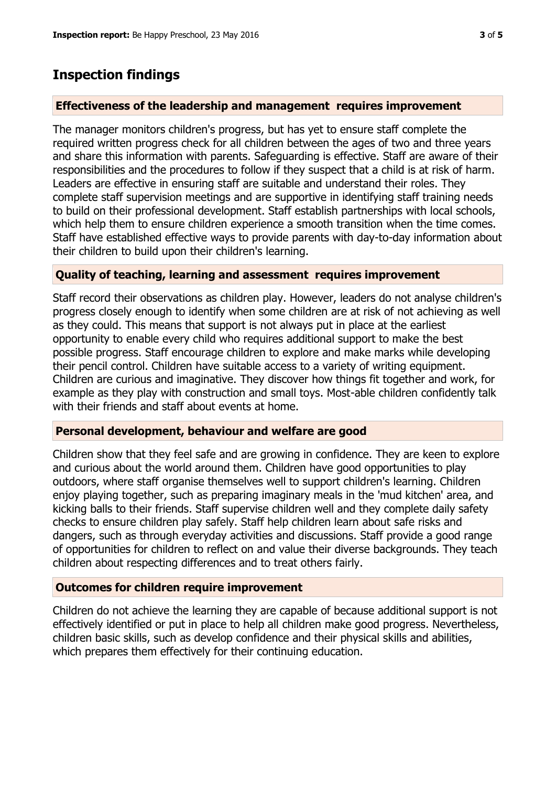## **Inspection findings**

#### **Effectiveness of the leadership and management requires improvement**

The manager monitors children's progress, but has yet to ensure staff complete the required written progress check for all children between the ages of two and three years and share this information with parents. Safeguarding is effective. Staff are aware of their responsibilities and the procedures to follow if they suspect that a child is at risk of harm. Leaders are effective in ensuring staff are suitable and understand their roles. They complete staff supervision meetings and are supportive in identifying staff training needs to build on their professional development. Staff establish partnerships with local schools, which help them to ensure children experience a smooth transition when the time comes. Staff have established effective ways to provide parents with day-to-day information about their children to build upon their children's learning.

#### **Quality of teaching, learning and assessment requires improvement**

Staff record their observations as children play. However, leaders do not analyse children's progress closely enough to identify when some children are at risk of not achieving as well as they could. This means that support is not always put in place at the earliest opportunity to enable every child who requires additional support to make the best possible progress. Staff encourage children to explore and make marks while developing their pencil control. Children have suitable access to a variety of writing equipment. Children are curious and imaginative. They discover how things fit together and work, for example as they play with construction and small toys. Most-able children confidently talk with their friends and staff about events at home.

#### **Personal development, behaviour and welfare are good**

Children show that they feel safe and are growing in confidence. They are keen to explore and curious about the world around them. Children have good opportunities to play outdoors, where staff organise themselves well to support children's learning. Children enjoy playing together, such as preparing imaginary meals in the 'mud kitchen' area, and kicking balls to their friends. Staff supervise children well and they complete daily safety checks to ensure children play safely. Staff help children learn about safe risks and dangers, such as through everyday activities and discussions. Staff provide a good range of opportunities for children to reflect on and value their diverse backgrounds. They teach children about respecting differences and to treat others fairly.

#### **Outcomes for children require improvement**

Children do not achieve the learning they are capable of because additional support is not effectively identified or put in place to help all children make good progress. Nevertheless, children basic skills, such as develop confidence and their physical skills and abilities, which prepares them effectively for their continuing education.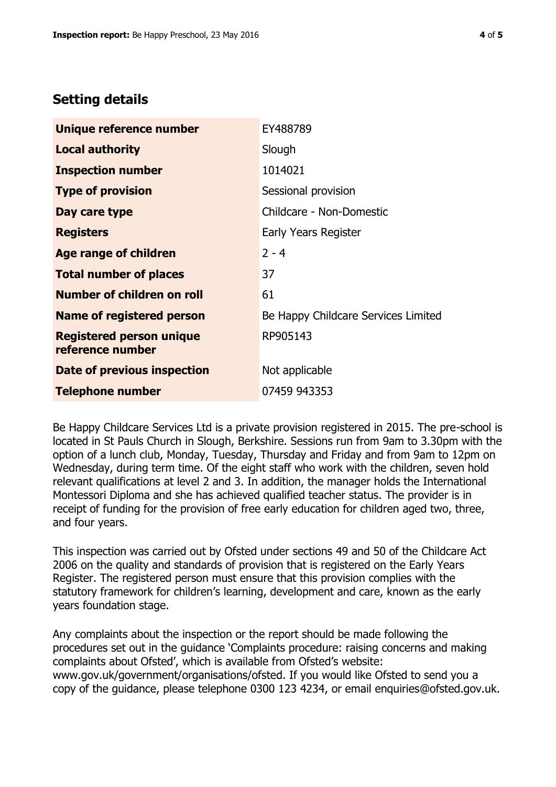## **Setting details**

| Unique reference number                             | EY488789                            |
|-----------------------------------------------------|-------------------------------------|
| <b>Local authority</b>                              | Slough                              |
| <b>Inspection number</b>                            | 1014021                             |
| <b>Type of provision</b>                            | Sessional provision                 |
| Day care type                                       | Childcare - Non-Domestic            |
| <b>Registers</b>                                    | Early Years Register                |
| Age range of children                               | $2 - 4$                             |
| <b>Total number of places</b>                       | 37                                  |
| Number of children on roll                          | 61                                  |
| Name of registered person                           | Be Happy Childcare Services Limited |
| <b>Registered person unique</b><br>reference number | RP905143                            |
| Date of previous inspection                         | Not applicable                      |
| <b>Telephone number</b>                             | 07459 943353                        |

Be Happy Childcare Services Ltd is a private provision registered in 2015. The pre-school is located in St Pauls Church in Slough, Berkshire. Sessions run from 9am to 3.30pm with the option of a lunch club, Monday, Tuesday, Thursday and Friday and from 9am to 12pm on Wednesday, during term time. Of the eight staff who work with the children, seven hold relevant qualifications at level 2 and 3. In addition, the manager holds the International Montessori Diploma and she has achieved qualified teacher status. The provider is in receipt of funding for the provision of free early education for children aged two, three, and four years.

This inspection was carried out by Ofsted under sections 49 and 50 of the Childcare Act 2006 on the quality and standards of provision that is registered on the Early Years Register. The registered person must ensure that this provision complies with the statutory framework for children's learning, development and care, known as the early years foundation stage.

Any complaints about the inspection or the report should be made following the procedures set out in the guidance 'Complaints procedure: raising concerns and making complaints about Ofsted', which is available from Ofsted's website: www.gov.uk/government/organisations/ofsted. If you would like Ofsted to send you a copy of the guidance, please telephone 0300 123 4234, or email enquiries@ofsted.gov.uk.